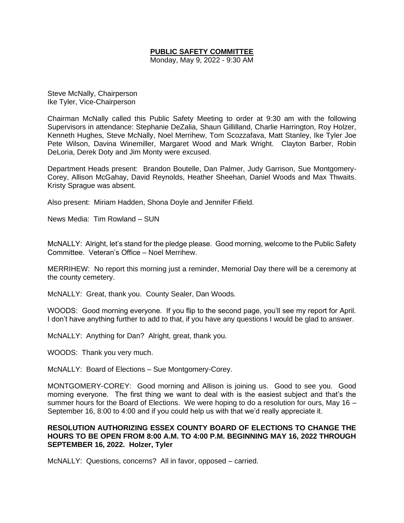# **PUBLIC SAFETY COMMITTEE**

Monday, May 9, 2022 - 9:30 AM

Steve McNally, Chairperson Ike Tyler, Vice-Chairperson

Chairman McNally called this Public Safety Meeting to order at 9:30 am with the following Supervisors in attendance: Stephanie DeZalia, Shaun Gillilland, Charlie Harrington, Roy Holzer, Kenneth Hughes, Steve McNally, Noel Merrihew, Tom Scozzafava, Matt Stanley, Ike Tyler Joe Pete Wilson, Davina Winemiller, Margaret Wood and Mark Wright. Clayton Barber, Robin DeLoria, Derek Doty and Jim Monty were excused.

Department Heads present: Brandon Boutelle, Dan Palmer, Judy Garrison, Sue Montgomery-Corey, Allison McGahay, David Reynolds, Heather Sheehan, Daniel Woods and Max Thwaits. Kristy Sprague was absent.

Also present: Miriam Hadden, Shona Doyle and Jennifer Fifield.

News Media: Tim Rowland – SUN

McNALLY: Alright, let's stand for the pledge please. Good morning, welcome to the Public Safety Committee. Veteran's Office – Noel Merrihew.

MERRIHEW: No report this morning just a reminder, Memorial Day there will be a ceremony at the county cemetery.

McNALLY: Great, thank you. County Sealer, Dan Woods.

WOODS: Good morning everyone. If you flip to the second page, you'll see my report for April. I don't have anything further to add to that, if you have any questions I would be glad to answer.

McNALLY: Anything for Dan? Alright, great, thank you.

WOODS: Thank you very much.

McNALLY: Board of Elections – Sue Montgomery-Corey.

MONTGOMERY-COREY: Good morning and Allison is joining us. Good to see you. Good morning everyone. The first thing we want to deal with is the easiest subject and that's the summer hours for the Board of Elections. We were hoping to do a resolution for ours, May 16 – September 16, 8:00 to 4:00 and if you could help us with that we'd really appreciate it.

### **RESOLUTION AUTHORIZING ESSEX COUNTY BOARD OF ELECTIONS TO CHANGE THE HOURS TO BE OPEN FROM 8:00 A.M. TO 4:00 P.M. BEGINNING MAY 16, 2022 THROUGH SEPTEMBER 16, 2022. Holzer, Tyler**

McNALLY: Questions, concerns? All in favor, opposed – carried.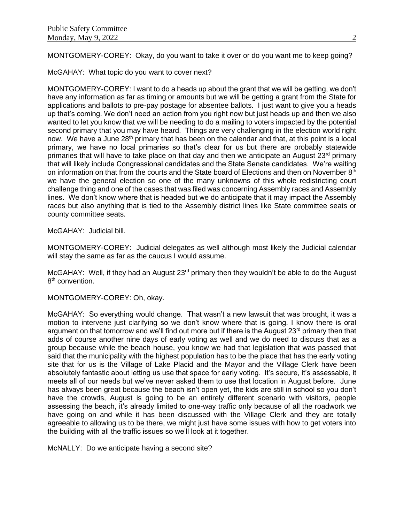MONTGOMERY-COREY: Okay, do you want to take it over or do you want me to keep going?

McGAHAY: What topic do you want to cover next?

MONTGOMERY-COREY: I want to do a heads up about the grant that we will be getting, we don't have any information as far as timing or amounts but we will be getting a grant from the State for applications and ballots to pre-pay postage for absentee ballots. I just want to give you a heads up that's coming. We don't need an action from you right now but just heads up and then we also wanted to let you know that we will be needing to do a mailing to voters impacted by the potential second primary that you may have heard. Things are very challenging in the election world right now. We have a June 28<sup>th</sup> primary that has been on the calendar and that, at this point is a local primary, we have no local primaries so that's clear for us but there are probably statewide primaries that will have to take place on that day and then we anticipate an August  $23<sup>rd</sup>$  primary that will likely include Congressional candidates and the State Senate candidates. We're waiting on information on that from the courts and the State board of Elections and then on November 8<sup>th</sup> we have the general election so one of the many unknowns of this whole redistricting court challenge thing and one of the cases that was filed was concerning Assembly races and Assembly lines. We don't know where that is headed but we do anticipate that it may impact the Assembly races but also anything that is tied to the Assembly district lines like State committee seats or county committee seats.

McGAHAY: Judicial bill.

MONTGOMERY-COREY: Judicial delegates as well although most likely the Judicial calendar will stay the same as far as the caucus I would assume.

McGAHAY: Well, if they had an August 23<sup>rd</sup> primary then they wouldn't be able to do the August 8<sup>th</sup> convention.

MONTGOMERY-COREY: Oh, okay.

McGAHAY: So everything would change. That wasn't a new lawsuit that was brought, it was a motion to intervene just clarifying so we don't know where that is going. I know there is oral argument on that tomorrow and we'll find out more but if there is the August 23<sup>rd</sup> primary then that adds of course another nine days of early voting as well and we do need to discuss that as a group because while the beach house, you know we had that legislation that was passed that said that the municipality with the highest population has to be the place that has the early voting site that for us is the Village of Lake Placid and the Mayor and the Village Clerk have been absolutely fantastic about letting us use that space for early voting. It's secure, it's assessable, it meets all of our needs but we've never asked them to use that location in August before. June has always been great because the beach isn't open yet, the kids are still in school so you don't have the crowds, August is going to be an entirely different scenario with visitors, people assessing the beach, it's already limited to one-way traffic only because of all the roadwork we have going on and while it has been discussed with the Village Clerk and they are totally agreeable to allowing us to be there, we might just have some issues with how to get voters into the building with all the traffic issues so we'll look at it together.

McNALLY: Do we anticipate having a second site?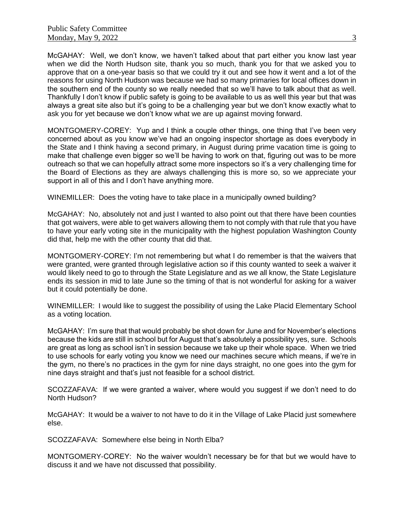McGAHAY: Well, we don't know, we haven't talked about that part either you know last year when we did the North Hudson site, thank you so much, thank you for that we asked you to approve that on a one-year basis so that we could try it out and see how it went and a lot of the reasons for using North Hudson was because we had so many primaries for local offices down in the southern end of the county so we really needed that so we'll have to talk about that as well. Thankfully I don't know if public safety is going to be available to us as well this year but that was always a great site also but it's going to be a challenging year but we don't know exactly what to ask you for yet because we don't know what we are up against moving forward.

MONTGOMERY-COREY: Yup and I think a couple other things, one thing that I've been very concerned about as you know we've had an ongoing inspector shortage as does everybody in the State and I think having a second primary, in August during prime vacation time is going to make that challenge even bigger so we'll be having to work on that, figuring out was to be more outreach so that we can hopefully attract some more inspectors so it's a very challenging time for the Board of Elections as they are always challenging this is more so, so we appreciate your support in all of this and I don't have anything more.

WINEMILLER: Does the voting have to take place in a municipally owned building?

McGAHAY: No, absolutely not and just I wanted to also point out that there have been counties that got waivers, were able to get waivers allowing them to not comply with that rule that you have to have your early voting site in the municipality with the highest population Washington County did that, help me with the other county that did that.

MONTGOMERY-COREY: I'm not remembering but what I do remember is that the waivers that were granted, were granted through legislative action so if this county wanted to seek a waiver it would likely need to go to through the State Legislature and as we all know, the State Legislature ends its session in mid to late June so the timing of that is not wonderful for asking for a waiver but it could potentially be done.

WINEMILLER: I would like to suggest the possibility of using the Lake Placid Elementary School as a voting location.

McGAHAY: I'm sure that that would probably be shot down for June and for November's elections because the kids are still in school but for August that's absolutely a possibility yes, sure. Schools are great as long as school isn't in session because we take up their whole space. When we tried to use schools for early voting you know we need our machines secure which means, if we're in the gym, no there's no practices in the gym for nine days straight, no one goes into the gym for nine days straight and that's just not feasible for a school district.

SCOZZAFAVA: If we were granted a waiver, where would you suggest if we don't need to do North Hudson?

McGAHAY: It would be a waiver to not have to do it in the Village of Lake Placid just somewhere else.

SCOZZAFAVA: Somewhere else being in North Elba?

MONTGOMERY-COREY: No the waiver wouldn't necessary be for that but we would have to discuss it and we have not discussed that possibility.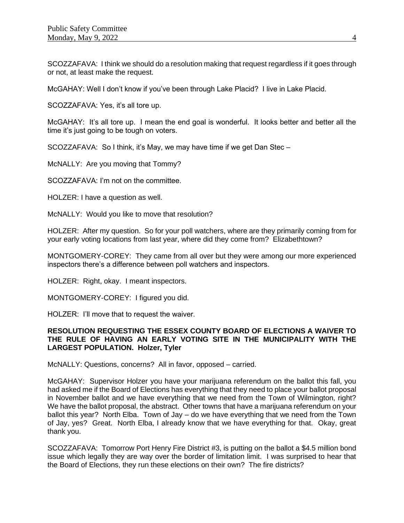SCOZZAFAVA: I think we should do a resolution making that request regardless if it goes through or not, at least make the request.

McGAHAY: Well I don't know if you've been through Lake Placid? I live in Lake Placid.

SCOZZAFAVA: Yes, it's all tore up.

McGAHAY: It's all tore up. I mean the end goal is wonderful. It looks better and better all the time it's just going to be tough on voters.

SCOZZAFAVA: So I think, it's May, we may have time if we get Dan Stec –

McNALLY: Are you moving that Tommy?

SCOZZAFAVA: I'm not on the committee.

HOLZER: I have a question as well.

McNALLY: Would you like to move that resolution?

HOLZER: After my question. So for your poll watchers, where are they primarily coming from for your early voting locations from last year, where did they come from? Elizabethtown?

MONTGOMERY-COREY: They came from all over but they were among our more experienced inspectors there's a difference between poll watchers and inspectors.

HOLZER: Right, okay. I meant inspectors.

MONTGOMERY-COREY: I figured you did.

HOLZER: I'll move that to request the waiver.

### **RESOLUTION REQUESTING THE ESSEX COUNTY BOARD OF ELECTIONS A WAIVER TO THE RULE OF HAVING AN EARLY VOTING SITE IN THE MUNICIPALITY WITH THE LARGEST POPULATION. Holzer, Tyler**

McNALLY: Questions, concerns? All in favor, opposed – carried.

McGAHAY: Supervisor Holzer you have your marijuana referendum on the ballot this fall, you had asked me if the Board of Elections has everything that they need to place your ballot proposal in November ballot and we have everything that we need from the Town of Wilmington, right? We have the ballot proposal, the abstract. Other towns that have a marijuana referendum on your ballot this year? North Elba. Town of Jay – do we have everything that we need from the Town of Jay, yes? Great. North Elba, I already know that we have everything for that. Okay, great thank you.

SCOZZAFAVA: Tomorrow Port Henry Fire District #3, is putting on the ballot a \$4.5 million bond issue which legally they are way over the border of limitation limit. I was surprised to hear that the Board of Elections, they run these elections on their own? The fire districts?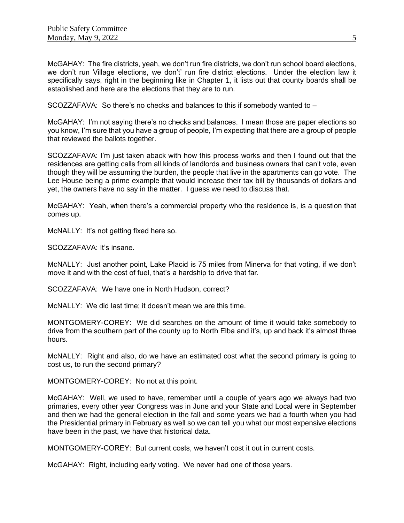McGAHAY: The fire districts, yeah, we don't run fire districts, we don't run school board elections, we don't run Village elections, we don't' run fire district elections. Under the election law it specifically says, right in the beginning like in Chapter 1, it lists out that county boards shall be established and here are the elections that they are to run.

SCOZZAFAVA: So there's no checks and balances to this if somebody wanted to –

McGAHAY: I'm not saying there's no checks and balances. I mean those are paper elections so you know, I'm sure that you have a group of people, I'm expecting that there are a group of people that reviewed the ballots together.

SCOZZAFAVA: I'm just taken aback with how this process works and then I found out that the residences are getting calls from all kinds of landlords and business owners that can't vote, even though they will be assuming the burden, the people that live in the apartments can go vote. The Lee House being a prime example that would increase their tax bill by thousands of dollars and yet, the owners have no say in the matter. I guess we need to discuss that.

McGAHAY: Yeah, when there's a commercial property who the residence is, is a question that comes up.

McNALLY: It's not getting fixed here so.

SCOZZAFAVA: It's insane.

McNALLY: Just another point, Lake Placid is 75 miles from Minerva for that voting, if we don't move it and with the cost of fuel, that's a hardship to drive that far.

SCOZZAFAVA: We have one in North Hudson, correct?

McNALLY: We did last time; it doesn't mean we are this time.

MONTGOMERY-COREY: We did searches on the amount of time it would take somebody to drive from the southern part of the county up to North Elba and it's, up and back it's almost three hours.

McNALLY: Right and also, do we have an estimated cost what the second primary is going to cost us, to run the second primary?

MONTGOMERY-COREY: No not at this point.

McGAHAY: Well, we used to have, remember until a couple of years ago we always had two primaries, every other year Congress was in June and your State and Local were in September and then we had the general election in the fall and some years we had a fourth when you had the Presidential primary in February as well so we can tell you what our most expensive elections have been in the past, we have that historical data.

MONTGOMERY-COREY: But current costs, we haven't cost it out in current costs.

McGAHAY: Right, including early voting. We never had one of those years.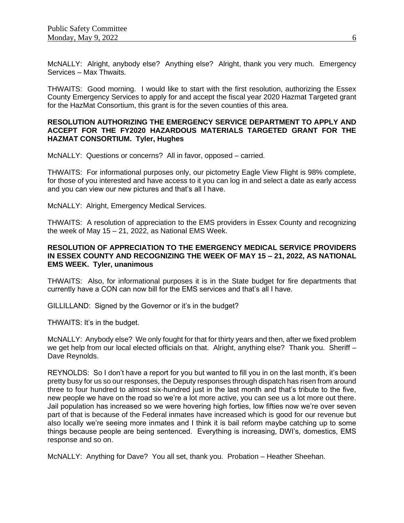McNALLY: Alright, anybody else? Anything else? Alright, thank you very much. Emergency Services – Max Thwaits.

THWAITS: Good morning. I would like to start with the first resolution, authorizing the Essex County Emergency Services to apply for and accept the fiscal year 2020 Hazmat Targeted grant for the HazMat Consortium, this grant is for the seven counties of this area.

### **RESOLUTION AUTHORIZING THE EMERGENCY SERVICE DEPARTMENT TO APPLY AND ACCEPT FOR THE FY2020 HAZARDOUS MATERIALS TARGETED GRANT FOR THE HAZMAT CONSORTIUM. Tyler, Hughes**

McNALLY: Questions or concerns? All in favor, opposed – carried.

THWAITS: For informational purposes only, our pictometry Eagle View Flight is 98% complete, for those of you interested and have access to it you can log in and select a date as early access and you can view our new pictures and that's all I have.

McNALLY: Alright, Emergency Medical Services.

THWAITS: A resolution of appreciation to the EMS providers in Essex County and recognizing the week of May  $15 - 21$ , 2022, as National EMS Week.

## **RESOLUTION OF APPRECIATION TO THE EMERGENCY MEDICAL SERVICE PROVIDERS IN ESSEX COUNTY AND RECOGNIZING THE WEEK OF MAY 15 – 21, 2022, AS NATIONAL EMS WEEK. Tyler, unanimous**

THWAITS: Also, for informational purposes it is in the State budget for fire departments that currently have a CON can now bill for the EMS services and that's all I have.

GILLILLAND: Signed by the Governor or it's in the budget?

THWAITS: It's in the budget.

McNALLY: Anybody else? We only fought for that for thirty years and then, after we fixed problem we get help from our local elected officials on that. Alright, anything else? Thank you. Sheriff – Dave Reynolds.

REYNOLDS: So I don't have a report for you but wanted to fill you in on the last month, it's been pretty busy for us so our responses, the Deputy responses through dispatch has risen from around three to four hundred to almost six-hundred just in the last month and that's tribute to the five, new people we have on the road so we're a lot more active, you can see us a lot more out there. Jail population has increased so we were hovering high forties, low fifties now we're over seven part of that is because of the Federal inmates have increased which is good for our revenue but also locally we're seeing more inmates and I think it is bail reform maybe catching up to some things because people are being sentenced. Everything is increasing, DWI's, domestics, EMS response and so on.

McNALLY: Anything for Dave? You all set, thank you. Probation – Heather Sheehan.